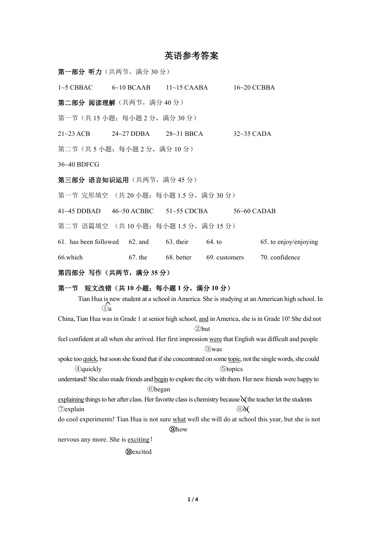# 苦运会老处安

|                                            |                             | 夹石纱勺合余          |                 |                                                                                                                                                                                                         |  |
|--------------------------------------------|-----------------------------|-----------------|-----------------|---------------------------------------------------------------------------------------------------------------------------------------------------------------------------------------------------------|--|
| 第一部分 听力 (共两节, 满分30分)                       |                             |                 |                 |                                                                                                                                                                                                         |  |
| $1~5$ CBBAC                                | $6~10$ BCAAB                | $11~15$ CAABA   |                 | 16~20 CCBBA                                                                                                                                                                                             |  |
| 第二部分 阅读理解(共两节,满分40分)                       |                             |                 |                 |                                                                                                                                                                                                         |  |
| 第一节 (共15小题; 每小题 2分, 满分 30分)                |                             |                 |                 |                                                                                                                                                                                                         |  |
| $21 - 23 ACB$                              | 24~27 DDBA                  | $28-31$ BBCA    |                 | 32~35 CADA                                                                                                                                                                                              |  |
| 第二节(共5小题;每小题2分,满分10分)                      |                             |                 |                 |                                                                                                                                                                                                         |  |
| 36~40 BDFCG                                |                             |                 |                 |                                                                                                                                                                                                         |  |
| 第三部分 语言知识运用(共两节,满分45分)                     |                             |                 |                 |                                                                                                                                                                                                         |  |
| 第一节 完形填空 (共20小题; 每小题 1.5 分, 满分 30 分)       |                             |                 |                 |                                                                                                                                                                                                         |  |
| 41~45 DDBAD 46~50 ACBBC                    |                             | $51 - 55$ CDCBA |                 | 56~60 CADAB                                                                                                                                                                                             |  |
| 第二节 语篇填空 (共10小题; 每小题 1.5 分, 满分 15 分)       |                             |                 |                 |                                                                                                                                                                                                         |  |
| 61. has been followed                      | 62. and                     | 63. their       | 64. to          | 65. to enjoy/enjoying                                                                                                                                                                                   |  |
| 66.which                                   | 67. the                     | 68. better      | 69. customers   | 70. confidence                                                                                                                                                                                          |  |
|                                            | 第四部分 写作 (共两节, 满分 35 分)      |                 |                 |                                                                                                                                                                                                         |  |
| 第一节 短文改错 (共10小题; 每小题1分, 满分10分)<br>$\Omega$ |                             |                 |                 | Tian Hua is new student at a school in America. She is studying at an American high school. In<br>China, Tian Hua was in Grade 1 at senior high school, and in America, she is in Grade 10! She did not |  |
|                                            |                             |                 | 2but            | feel confident at all when she arrived. Her first impression were that English was difficult and people                                                                                                 |  |
|                                            |                             |                 | <b>3</b> was    | spoke too quick, but soon she found that if she concentrated on some topic, not the single words, she could                                                                                             |  |
| <b><i><u></u></i></b> Quickly              |                             |                 | <b>5</b> topics |                                                                                                                                                                                                         |  |
|                                            | <b><i><u>®began</u></i></b> |                 |                 | understand! She also made friends and begin to explore the city with them. Her new friends were happy to                                                                                                |  |
|                                            |                             |                 |                 | explaining things to her after class. Her favorite class is chemistry because of the teacher let the students                                                                                           |  |
| <b><i>Oexplain</i></b>                     |                             |                 | $\circledS$     | do cool experiments! Tian Hua is not sure what well she will do at school this year, but she is not                                                                                                     |  |
|                                            |                             | <b>Ohow</b>     |                 |                                                                                                                                                                                                         |  |
| nervous any more. She is exciting!         |                             |                 |                 |                                                                                                                                                                                                         |  |
|                                            |                             |                 |                 |                                                                                                                                                                                                         |  |

⑩excited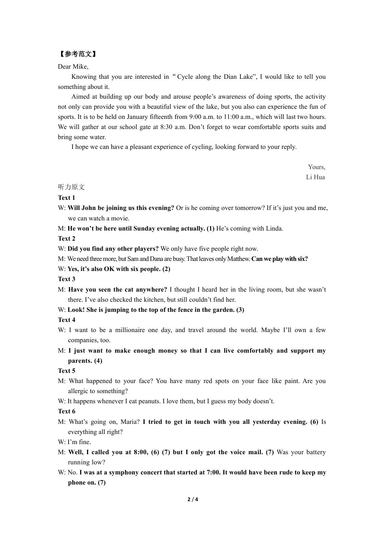## 【参考范文】

## Dear Mike,

Knowing that you are interested in"Cycle along the Dian Lake", I would like to tell you something about it.

Aimed at building up our body and arouse people's awareness of doing sports, the activity not only can provide you with a beautiful view of the lake, but you also can experience the fun of sports. It is to be held on January fifteenth from 9:00 a.m. to 11:00 a.m., which will last two hours. We will gather at our school gate at 8:30 a.m. Don't forget to wear comfortable sports suits and bring some water.

I hope we can have a pleasant experience of cycling, looking forward to your reply.

Yours, Li Hua

## 听力原文

## **Text 1**

- W: **Will John be joining us this evening?** Or is he coming over tomorrow? If it's just you and me, we can watch a movie.
- M: **He won't be here until Sunday evening actually. (1)** He's coming with Linda.

**Text 2**

- W: **Did you find any other players?** We only have five people right now.
- M: We need threemore, but SamandDana are busy.Thatleaves onlyMatthew.**Can we playwith six?**
- W: **Yes, it's also OK with six people. (2)**

## **Text 3**

- M: **Have you seen the cat anywhere?** I thought I heard her in the living room, but she wasn't there. I've also checked the kitchen, but still couldn't find her.
- W: **Look! She is jumping to the top of the fence in the garden. (3)**

## **Text 4**

- W: I want to be a millionaire one day, and travel around the world. Maybe I'll own a few companies, too.
- M: **I just want to make enough money so that I can live comfortably and support my parents. (4)**

## **Text 5**

- M: What happened to your face? You have many red spots on your face like paint. Are you allergic to something?
- W: It happens whenever I eat peanuts. I love them, but I guess my body doesn't.

#### **Text 6**

- M: What's going on, Maria? **I tried to get in touch with you all yesterday evening. (6)** Is everything all right?
- W: I'm fine.
- M: **Well, I called you at 8:00,(6) (7) but I only got the voice mail. (7)** Was your battery running low?
- W: No. **I was at a symphony concert that started at 7:00. It would have been rude to keep my phone on. (7)**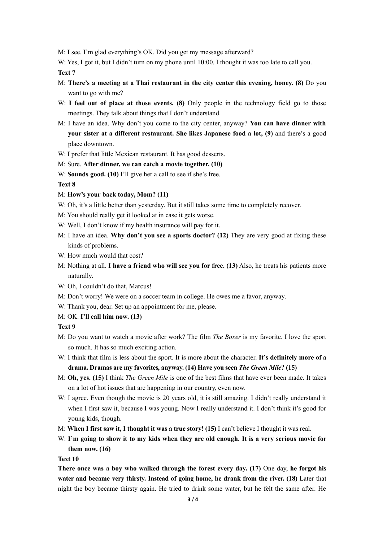M: I see. I'm glad everything's OK. Did you get my message afterward?

W: Yes, I got it, but I didn't turn on my phone until 10:00. I thought it was too late to call you.

**Text 7**

- M: **There's a meeting at a Thai restaurant in the city center this evening, honey. (8)** Do you want to go with me?
- W: **I feel out of place at those events. (8)** Only people in the technology field go to those meetings. They talk about things that I don't understand.
- M: I have an idea. Why don't you come to the city center, anyway? **You can have dinner with your sister at a different restaurant. She likes Japanese food a lot, (9)** and there's a good place downtown.
- W: I prefer that little Mexican restaurant. It has good desserts.
- M: Sure. **After dinner, we can catch a movie together. (10)**
- W: **Sounds good. (10)** I'll give her a call to see if she's free.

#### **Text 8**

- M: **How's your back today, Mom? (11)**
- W: Oh, it's a little better than yesterday. But it still takes some time to completely recover.
- M: You should really get it looked at in case it gets worse.
- W: Well, I don't know if my health insurance will pay for it.
- M: I have an idea. **Why don't you see a sports doctor? (12)** They are very good at fixing these kinds of problems.
- W: How much would that cost?
- M: Nothing at all. **I have a friend who will see you for free. (13)** Also, he treats his patients more naturally.
- W: Oh, I couldn't do that, Marcus!
- M: Don't worry! We were on a soccer team in college. He owes me a favor, anyway.
- W: Thank you, dear. Set up an appointment for me, please.
- M: OK. **I'll call him now. (13)**

## **Text 9**

- M: Do you want to watch a movie after work? The film *The Boxer* is my favorite. I love the sport so much. It has so much exciting action.
- W: I think that film is less about the sport. It is more about the character. **It's definitely more of a drama. Dramas are my favorites, anyway. (14) Have you seen** *The Green Mile***? (15)**
- M: **Oh, yes. (15)** I think *The Green Mile* is one of the best films that have ever been made. It takes on a lot of hot issues that are happening in our country, even now.
- W: I agree. Even though the movie is 20 years old, it is still amazing. I didn't really understand it when I first saw it, because I was young. Now I really understand it. I don't think it's good for young kids, though.
- M: **When I first saw it, I thought it was a true story! (15)** I can't believe I thought it was real.
- W: **I'm going to show it to my kidswhen they are old enough. It is a very serious movie for them now. (16)**

#### **Text 10**

**There once was a boy who walked through the forest every day. (17)** One day, **he forgot his water and became very thirsty. Instead of going home, he drank from the river. (18)** Later that night the boy became thirsty again. He tried to drink some water, but he felt the same after. He